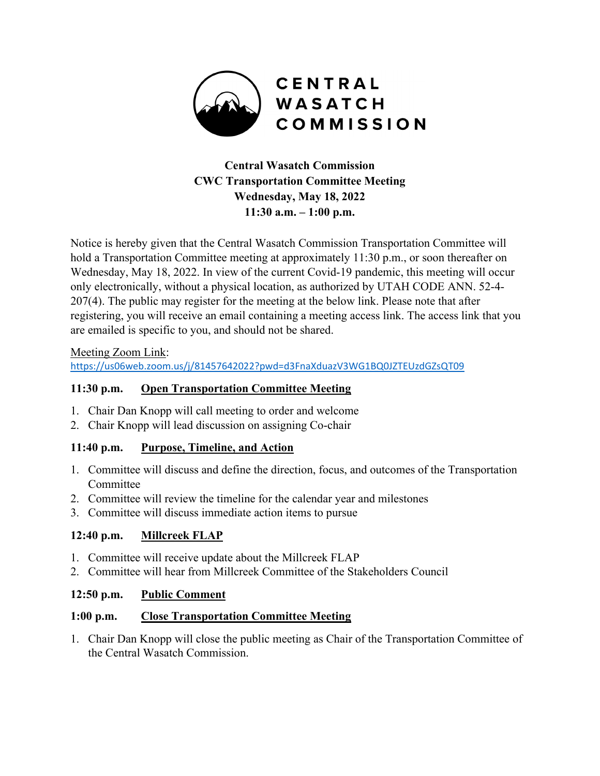

# **Central Wasatch Commission CWC Transportation Committee Meeting Wednesday, May 18, 2022 11:30 a.m. – 1:00 p.m.**

Notice is hereby given that the Central Wasatch Commission Transportation Committee will hold a Transportation Committee meeting at approximately 11:30 p.m., or soon thereafter on Wednesday, May 18, 2022. In view of the current Covid-19 pandemic, this meeting will occur only electronically, without a physical location, as authorized by UTAH CODE ANN. 52-4- 207(4). The public may register for the meeting at the below link. Please note that after registering, you will receive an email containing a meeting access link. The access link that you are emailed is specific to you, and should not be shared.

#### Meeting Zoom Link:

<https://us06web.zoom.us/j/81457642022?pwd=d3FnaXduazV3WG1BQ0JZTEUzdGZsQT09>

### **11:30 p.m. Open Transportation Committee Meeting**

- 1. Chair Dan Knopp will call meeting to order and welcome
- 2. Chair Knopp will lead discussion on assigning Co-chair

# **11:40 p.m. Purpose, Timeline, and Action**

- 1. Committee will discuss and define the direction, focus, and outcomes of the Transportation Committee
- 2. Committee will review the timeline for the calendar year and milestones
- 3. Committee will discuss immediate action items to pursue

# **12:40 p.m. Millcreek FLAP**

- 1. Committee will receive update about the Millcreek FLAP
- 2. Committee will hear from Millcreek Committee of the Stakeholders Council

#### **12:50 p.m. Public Comment**

#### **1:00 p.m. Close Transportation Committee Meeting**

1. Chair Dan Knopp will close the public meeting as Chair of the Transportation Committee of the Central Wasatch Commission.